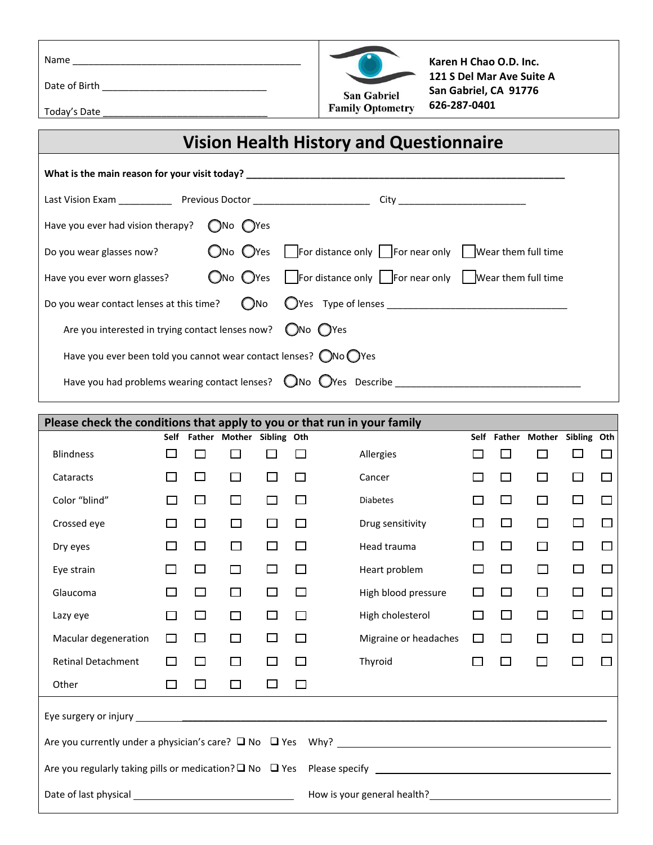Name \_\_\_\_\_\_\_\_\_\_\_\_\_\_\_\_\_\_\_\_\_\_\_\_\_\_\_\_\_\_\_\_\_\_\_\_\_\_\_\_\_\_\_

Date of Birth \_\_\_\_\_\_\_\_\_\_\_\_\_\_\_\_\_\_\_\_\_\_\_\_\_\_\_\_\_\_\_



**Karen H Chao O.D. Inc. 121 S Del Mar Ave Suite A San Gabriel, CA 91776 626-287-0401**

Today's Date \_\_\_\_\_\_\_\_\_\_\_\_\_\_\_\_\_\_\_\_\_\_\_\_\_\_\_\_\_\_\_

## **Vision Health History and Questionnaire**

| What is the main reason for your visit today? __________________________________     |                            |                                                                                                                |  |  |  |  |
|--------------------------------------------------------------------------------------|----------------------------|----------------------------------------------------------------------------------------------------------------|--|--|--|--|
|                                                                                      |                            |                                                                                                                |  |  |  |  |
| Have you ever had vision therapy?                                                    | $\bigcap$ No $\bigcap$ Yes |                                                                                                                |  |  |  |  |
| Do you wear glasses now?                                                             |                            | $\bigcirc$ No $\bigcirc$ Yes For distance only For near only Wear them full time                               |  |  |  |  |
| Have you ever worn glasses?                                                          |                            | $\bigcirc$ No $\bigcirc$ Yes $\bigcup$ For distance only $\bigcup$ For near only $\bigcup$ Wear them full time |  |  |  |  |
|                                                                                      |                            |                                                                                                                |  |  |  |  |
| Are you interested in trying contact lenses now? $\bigcirc$ No $\bigcirc$ Yes        |                            |                                                                                                                |  |  |  |  |
| Have you ever been told you cannot wear contact lenses? $\bigcirc$ No $\bigcirc$ Yes |                            |                                                                                                                |  |  |  |  |
|                                                                                      |                            | Have you had problems wearing contact lenses? $\Box$ No $\Box$ Yes Describe                                    |  |  |  |  |

| Please check the conditions that apply to you or that run in your family      |                |        |                           |        |   |                                                                                                                                                                                                                                |             |              |                           |        |        |
|-------------------------------------------------------------------------------|----------------|--------|---------------------------|--------|---|--------------------------------------------------------------------------------------------------------------------------------------------------------------------------------------------------------------------------------|-------------|--------------|---------------------------|--------|--------|
|                                                                               | Self           |        | Father Mother Sibling Oth |        |   |                                                                                                                                                                                                                                | <b>Self</b> |              | Father Mother Sibling Oth |        |        |
| <b>Blindness</b>                                                              | $\Box$         | П      | □                         |        | П | Allergies                                                                                                                                                                                                                      |             | $\Box$       | П                         |        | $\Box$ |
| Cataracts                                                                     | $\mathbb{R}^n$ | П      | □                         | $\Box$ | П | Cancer                                                                                                                                                                                                                         |             | П            | □                         | $\Box$ | П      |
| Color "blind"                                                                 |                | □      | $\Box$                    | П      | П | <b>Diabetes</b>                                                                                                                                                                                                                | П           | П            | □                         | $\Box$ | $\Box$ |
| Crossed eye                                                                   | $\mathsf{I}$   | $\Box$ | $\Box$                    | П      | П | Drug sensitivity                                                                                                                                                                                                               | П           | □            | □                         | $\Box$ | П      |
| Dry eyes                                                                      |                | $\Box$ | $\Box$                    |        | I | Head trauma                                                                                                                                                                                                                    |             | $\mathbf{I}$ | П                         | $\Box$ | П      |
| Eye strain                                                                    |                | $\Box$ | П                         |        | П | Heart problem                                                                                                                                                                                                                  |             | $\Box$       | П                         | $\Box$ |        |
| Glaucoma                                                                      |                | □      | $\Box$                    | $\Box$ | П | High blood pressure                                                                                                                                                                                                            |             | □            | П                         | □      | П      |
| Lazy eye                                                                      |                | □      | $\Box$                    | П      | П | High cholesterol                                                                                                                                                                                                               | П           | □            | $\Box$                    | П      | П      |
| Macular degeneration                                                          | $\Box$         | □      | □                         | □      | П | Migraine or headaches                                                                                                                                                                                                          |             | П            | $\Box$                    | П      | П      |
| <b>Retinal Detachment</b>                                                     |                | □      | □                         | □      | П | Thyroid                                                                                                                                                                                                                        | □           | П            | $\Box$                    | П      |        |
| Other                                                                         | $\Box$         | $\Box$ | □                         | □      | □ |                                                                                                                                                                                                                                |             |              |                           |        |        |
|                                                                               |                |        |                           |        |   |                                                                                                                                                                                                                                |             |              |                           |        |        |
|                                                                               |                |        |                           |        |   |                                                                                                                                                                                                                                |             |              |                           |        |        |
|                                                                               |                |        |                           |        |   |                                                                                                                                                                                                                                |             |              |                           |        |        |
| Date of last physical __<br><u> 1989 - Johann Barbara, martin amerikan ba</u> |                |        |                           |        |   | How is your general health? The same state of the state of the state of the state of the state of the state of the state of the state of the state of the state of the state of the state of the state of the state of the sta |             |              |                           |        |        |